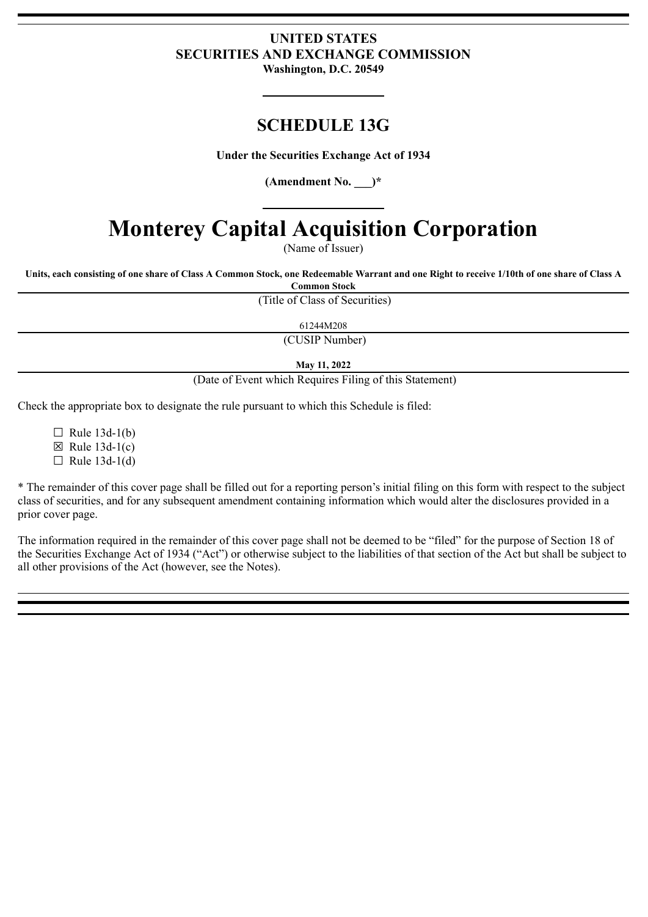# **UNITED STATES SECURITIES AND EXCHANGE COMMISSION Washington, D.C. 20549**

# **SCHEDULE 13G**

**Under the Securities Exchange Act of 1934**

**(Amendment No. \_\_\_)\***

# **Monterey Capital Acquisition Corporation**

(Name of Issuer)

Units, each consisting of one share of Class A Common Stock, one Redeemable Warrant and one Right to receive 1/10th of one share of Class A

**Common Stock**

(Title of Class of Securities)

61244M208

(CUSIP Number)

**May 11, 2022**

(Date of Event which Requires Filing of this Statement)

Check the appropriate box to designate the rule pursuant to which this Schedule is filed:

 $\Box$  Rule 13d-1(b)  $\boxtimes$  Rule 13d-1(c)

 $\Box$  Rule 13d-1(d)

\* The remainder of this cover page shall be filled out for a reporting person's initial filing on this form with respect to the subject class of securities, and for any subsequent amendment containing information which would alter the disclosures provided in a prior cover page.

The information required in the remainder of this cover page shall not be deemed to be "filed" for the purpose of Section 18 of the Securities Exchange Act of 1934 ("Act") or otherwise subject to the liabilities of that section of the Act but shall be subject to all other provisions of the Act (however, see the Notes).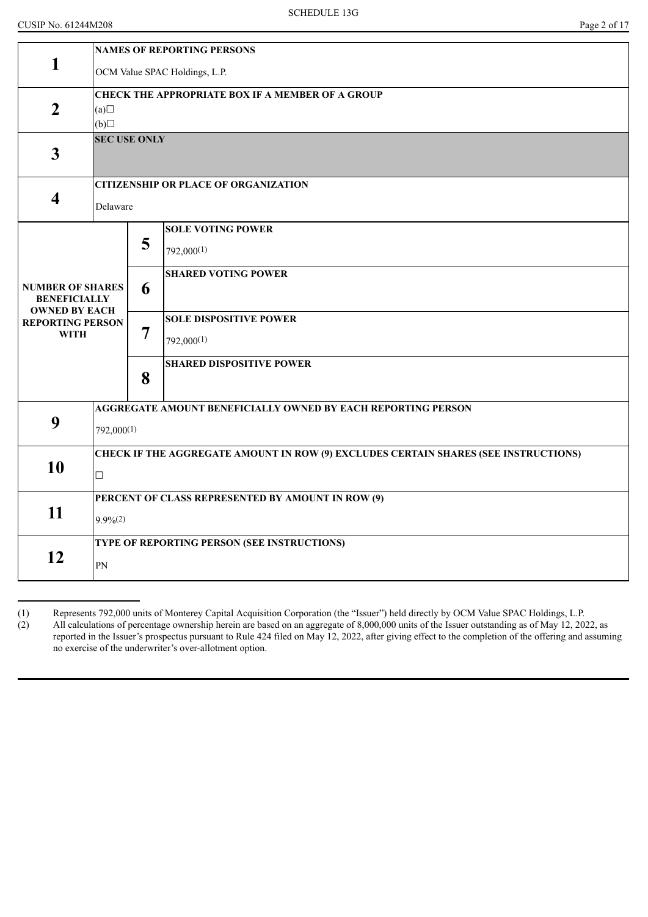| <b>NAMES OF REPORTING PERSONS</b>                                                   |  |  |  |  |  |  |
|-------------------------------------------------------------------------------------|--|--|--|--|--|--|
| OCM Value SPAC Holdings, L.P.                                                       |  |  |  |  |  |  |
|                                                                                     |  |  |  |  |  |  |
|                                                                                     |  |  |  |  |  |  |
| $\Box$ (d)<br><b>SEC USE ONLY</b>                                                   |  |  |  |  |  |  |
|                                                                                     |  |  |  |  |  |  |
|                                                                                     |  |  |  |  |  |  |
|                                                                                     |  |  |  |  |  |  |
|                                                                                     |  |  |  |  |  |  |
|                                                                                     |  |  |  |  |  |  |
|                                                                                     |  |  |  |  |  |  |
|                                                                                     |  |  |  |  |  |  |
|                                                                                     |  |  |  |  |  |  |
|                                                                                     |  |  |  |  |  |  |
|                                                                                     |  |  |  |  |  |  |
|                                                                                     |  |  |  |  |  |  |
|                                                                                     |  |  |  |  |  |  |
| 792,000(1)                                                                          |  |  |  |  |  |  |
| CHECK IF THE AGGREGATE AMOUNT IN ROW (9) EXCLUDES CERTAIN SHARES (SEE INSTRUCTIONS) |  |  |  |  |  |  |
| $\Box$                                                                              |  |  |  |  |  |  |
|                                                                                     |  |  |  |  |  |  |
| $9.9\%$ <sup>(2)</sup>                                                              |  |  |  |  |  |  |
|                                                                                     |  |  |  |  |  |  |
| PN                                                                                  |  |  |  |  |  |  |
|                                                                                     |  |  |  |  |  |  |

<sup>(1)</sup> Represents 792,000 units of Monterey Capital Acquisition Corporation (the "Issuer") held directly by OCM Value SPAC Holdings, L.P.<br>(2) All calculations of percentage ownership herein are based on an aggregate of 8,000, All calculations of percentage ownership herein are based on an aggregate of 8,000,000 units of the Issuer outstanding as of May 12, 2022, as reported in the Issuer's prospectus pursuant to Rule 424 filed on May 12, 2022, after giving effect to the completion of the offering and assuming no exercise of the underwriter's over-allotment option.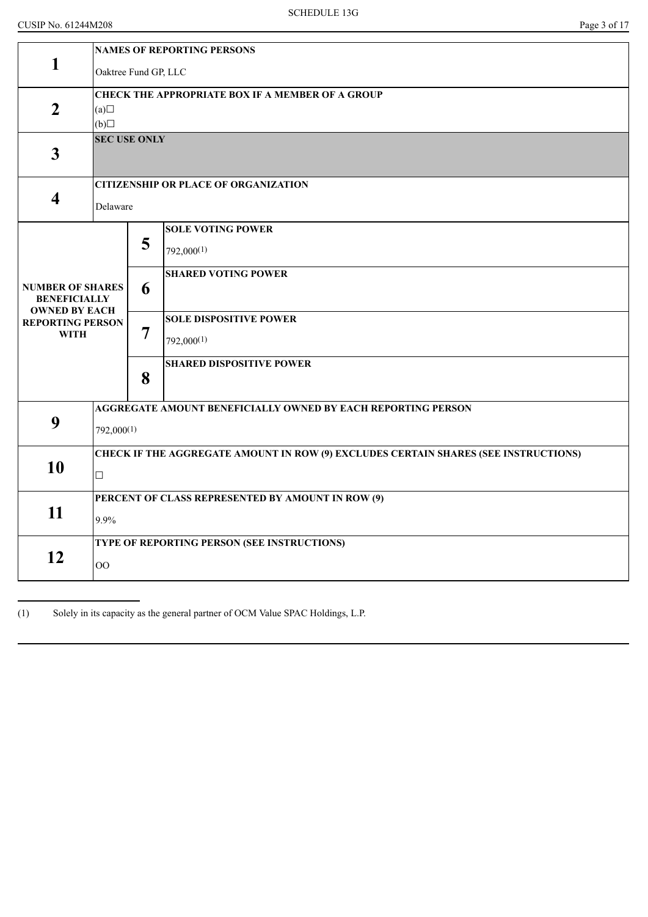|                                                 | <b>NAMES OF REPORTING PERSONS</b>                                                   |                                                   |                                                              |  |  |  |
|-------------------------------------------------|-------------------------------------------------------------------------------------|---------------------------------------------------|--------------------------------------------------------------|--|--|--|
| 1                                               |                                                                                     | Oaktree Fund GP, LLC                              |                                                              |  |  |  |
|                                                 | <b>CHECK THE APPROPRIATE BOX IF A MEMBER OF A GROUP</b>                             |                                                   |                                                              |  |  |  |
| $\overline{2}$                                  | (a)<br>(b)                                                                          |                                                   |                                                              |  |  |  |
|                                                 | <b>SEC USE ONLY</b>                                                                 |                                                   |                                                              |  |  |  |
| $\mathbf{3}$                                    |                                                                                     |                                                   |                                                              |  |  |  |
|                                                 |                                                                                     |                                                   | <b>CITIZENSHIP OR PLACE OF ORGANIZATION</b>                  |  |  |  |
| $\overline{\mathbf{4}}$                         | Delaware                                                                            |                                                   |                                                              |  |  |  |
|                                                 |                                                                                     |                                                   | <b>SOLE VOTING POWER</b>                                     |  |  |  |
|                                                 |                                                                                     | 5                                                 | $792,000^{(1)}$                                              |  |  |  |
|                                                 |                                                                                     |                                                   | <b>SHARED VOTING POWER</b>                                   |  |  |  |
| <b>NUMBER OF SHARES</b><br><b>BENEFICIALLY</b>  | 6                                                                                   |                                                   |                                                              |  |  |  |
| <b>OWNED BY EACH</b><br><b>REPORTING PERSON</b> | $\overline{7}$<br>8                                                                 |                                                   | <b>SOLE DISPOSITIVE POWER</b>                                |  |  |  |
| <b>WITH</b>                                     |                                                                                     |                                                   | 792,000(1)                                                   |  |  |  |
|                                                 |                                                                                     |                                                   | <b>SHARED DISPOSITIVE POWER</b>                              |  |  |  |
|                                                 |                                                                                     |                                                   |                                                              |  |  |  |
| 9                                               |                                                                                     |                                                   | AGGREGATE AMOUNT BENEFICIALLY OWNED BY EACH REPORTING PERSON |  |  |  |
|                                                 | 792,000(1)                                                                          |                                                   |                                                              |  |  |  |
|                                                 | CHECK IF THE AGGREGATE AMOUNT IN ROW (9) EXCLUDES CERTAIN SHARES (SEE INSTRUCTIONS) |                                                   |                                                              |  |  |  |
| 10                                              | $\Box$                                                                              |                                                   |                                                              |  |  |  |
|                                                 |                                                                                     | PERCENT OF CLASS REPRESENTED BY AMOUNT IN ROW (9) |                                                              |  |  |  |
| 11                                              | 9.9%                                                                                |                                                   |                                                              |  |  |  |
|                                                 |                                                                                     |                                                   | TYPE OF REPORTING PERSON (SEE INSTRUCTIONS)                  |  |  |  |
| 12                                              | O <sub>O</sub>                                                                      |                                                   |                                                              |  |  |  |

(1) Solely in its capacity as the general partner of OCM Value SPAC Holdings, L.P.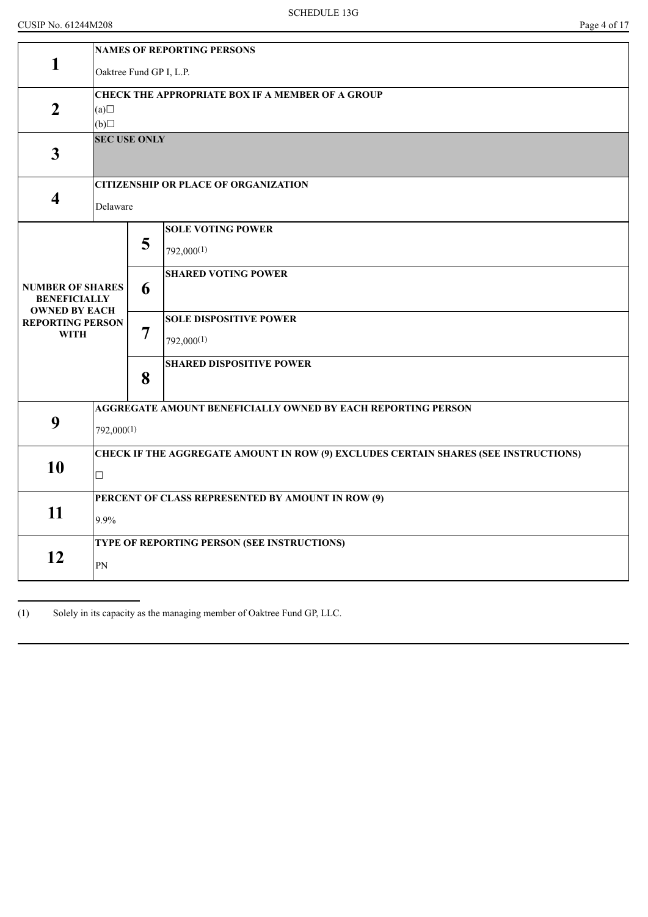| $\mathbf{1}$                                    | <b>NAMES OF REPORTING PERSONS</b>                                                   |                     |                                                              |  |  |  |  |
|-------------------------------------------------|-------------------------------------------------------------------------------------|---------------------|--------------------------------------------------------------|--|--|--|--|
|                                                 | Oaktree Fund GP I, L.P.                                                             |                     |                                                              |  |  |  |  |
|                                                 | <b>CHECK THE APPROPRIATE BOX IF A MEMBER OF A GROUP</b>                             |                     |                                                              |  |  |  |  |
| $\overline{2}$                                  | (a)                                                                                 |                     |                                                              |  |  |  |  |
|                                                 |                                                                                     |                     |                                                              |  |  |  |  |
|                                                 | (b)                                                                                 |                     |                                                              |  |  |  |  |
| $\mathbf{3}$                                    |                                                                                     | <b>SEC USE ONLY</b> |                                                              |  |  |  |  |
|                                                 |                                                                                     |                     | <b>CITIZENSHIP OR PLACE OF ORGANIZATION</b>                  |  |  |  |  |
| $\overline{\mathbf{4}}$                         | Delaware                                                                            |                     |                                                              |  |  |  |  |
|                                                 |                                                                                     |                     | <b>SOLE VOTING POWER</b>                                     |  |  |  |  |
|                                                 |                                                                                     | 5                   |                                                              |  |  |  |  |
|                                                 |                                                                                     |                     | $792,000^{(1)}$                                              |  |  |  |  |
|                                                 |                                                                                     |                     |                                                              |  |  |  |  |
|                                                 |                                                                                     |                     | <b>SHARED VOTING POWER</b>                                   |  |  |  |  |
| <b>NUMBER OF SHARES</b>                         |                                                                                     | 6                   |                                                              |  |  |  |  |
| <b>BENEFICIALLY</b>                             |                                                                                     |                     |                                                              |  |  |  |  |
| <b>OWNED BY EACH</b><br><b>REPORTING PERSON</b> |                                                                                     |                     | <b>SOLE DISPOSITIVE POWER</b>                                |  |  |  |  |
| <b>WITH</b>                                     |                                                                                     | 7                   |                                                              |  |  |  |  |
|                                                 |                                                                                     |                     | 792,000(1)                                                   |  |  |  |  |
|                                                 |                                                                                     |                     | <b>SHARED DISPOSITIVE POWER</b>                              |  |  |  |  |
|                                                 |                                                                                     | 8                   |                                                              |  |  |  |  |
|                                                 |                                                                                     |                     |                                                              |  |  |  |  |
|                                                 |                                                                                     |                     | AGGREGATE AMOUNT BENEFICIALLY OWNED BY EACH REPORTING PERSON |  |  |  |  |
| 9                                               | 792,000(1)                                                                          |                     |                                                              |  |  |  |  |
|                                                 |                                                                                     |                     |                                                              |  |  |  |  |
|                                                 | CHECK IF THE AGGREGATE AMOUNT IN ROW (9) EXCLUDES CERTAIN SHARES (SEE INSTRUCTIONS) |                     |                                                              |  |  |  |  |
| 10                                              |                                                                                     |                     |                                                              |  |  |  |  |
|                                                 | $\Box$                                                                              |                     |                                                              |  |  |  |  |
|                                                 | PERCENT OF CLASS REPRESENTED BY AMOUNT IN ROW (9)                                   |                     |                                                              |  |  |  |  |
| 11                                              | 9.9%                                                                                |                     |                                                              |  |  |  |  |
|                                                 |                                                                                     |                     |                                                              |  |  |  |  |
|                                                 |                                                                                     |                     | TYPE OF REPORTING PERSON (SEE INSTRUCTIONS)                  |  |  |  |  |
| 12                                              | PN                                                                                  |                     |                                                              |  |  |  |  |
|                                                 |                                                                                     |                     |                                                              |  |  |  |  |
|                                                 |                                                                                     |                     |                                                              |  |  |  |  |

(1) Solely in its capacity as the managing member of Oaktree Fund GP, LLC.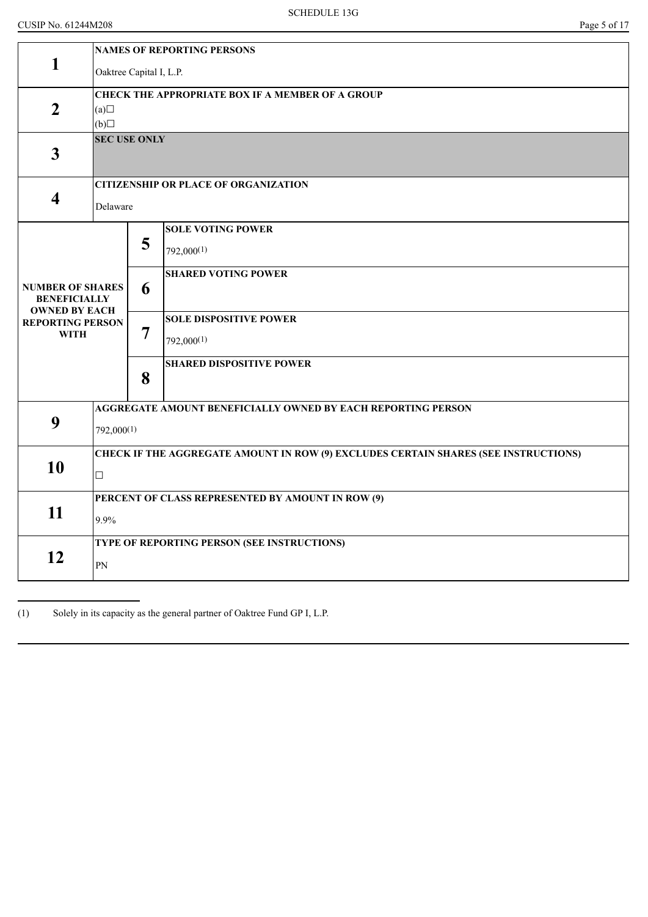|                                                                        | <b>NAMES OF REPORTING PERSONS</b>                                                   |                                                         |                                                              |  |  |  |
|------------------------------------------------------------------------|-------------------------------------------------------------------------------------|---------------------------------------------------------|--------------------------------------------------------------|--|--|--|
| 1                                                                      | Oaktree Capital I, L.P.                                                             |                                                         |                                                              |  |  |  |
| $\overline{2}$                                                         | (a)                                                                                 | <b>CHECK THE APPROPRIATE BOX IF A MEMBER OF A GROUP</b> |                                                              |  |  |  |
|                                                                        | (b)                                                                                 |                                                         |                                                              |  |  |  |
| $\mathbf{3}$                                                           | <b>SEC USE ONLY</b>                                                                 |                                                         |                                                              |  |  |  |
|                                                                        |                                                                                     |                                                         | <b>CITIZENSHIP OR PLACE OF ORGANIZATION</b>                  |  |  |  |
| 4                                                                      | Delaware                                                                            |                                                         |                                                              |  |  |  |
|                                                                        |                                                                                     |                                                         | <b>SOLE VOTING POWER</b>                                     |  |  |  |
|                                                                        |                                                                                     | 5                                                       | $792,000^{(1)}$                                              |  |  |  |
|                                                                        |                                                                                     |                                                         | <b>SHARED VOTING POWER</b>                                   |  |  |  |
| <b>NUMBER OF SHARES</b><br><b>BENEFICIALLY</b><br><b>OWNED BY EACH</b> | 6<br>7                                                                              |                                                         |                                                              |  |  |  |
| <b>REPORTING PERSON</b>                                                |                                                                                     |                                                         | <b>SOLE DISPOSITIVE POWER</b>                                |  |  |  |
| <b>WITH</b>                                                            |                                                                                     |                                                         | 792,000(1)                                                   |  |  |  |
|                                                                        |                                                                                     | 8                                                       | <b>SHARED DISPOSITIVE POWER</b>                              |  |  |  |
|                                                                        |                                                                                     |                                                         |                                                              |  |  |  |
|                                                                        |                                                                                     |                                                         | AGGREGATE AMOUNT BENEFICIALLY OWNED BY EACH REPORTING PERSON |  |  |  |
| 9                                                                      | 792,000(1)                                                                          |                                                         |                                                              |  |  |  |
|                                                                        | CHECK IF THE AGGREGATE AMOUNT IN ROW (9) EXCLUDES CERTAIN SHARES (SEE INSTRUCTIONS) |                                                         |                                                              |  |  |  |
| 10                                                                     | $\Box$                                                                              |                                                         |                                                              |  |  |  |
|                                                                        | PERCENT OF CLASS REPRESENTED BY AMOUNT IN ROW (9)                                   |                                                         |                                                              |  |  |  |
| 11                                                                     | 9.9%                                                                                |                                                         |                                                              |  |  |  |
|                                                                        |                                                                                     |                                                         | TYPE OF REPORTING PERSON (SEE INSTRUCTIONS)                  |  |  |  |
| 12                                                                     | PN                                                                                  |                                                         |                                                              |  |  |  |

(1) Solely in its capacity as the general partner of Oaktree Fund GP I, L.P.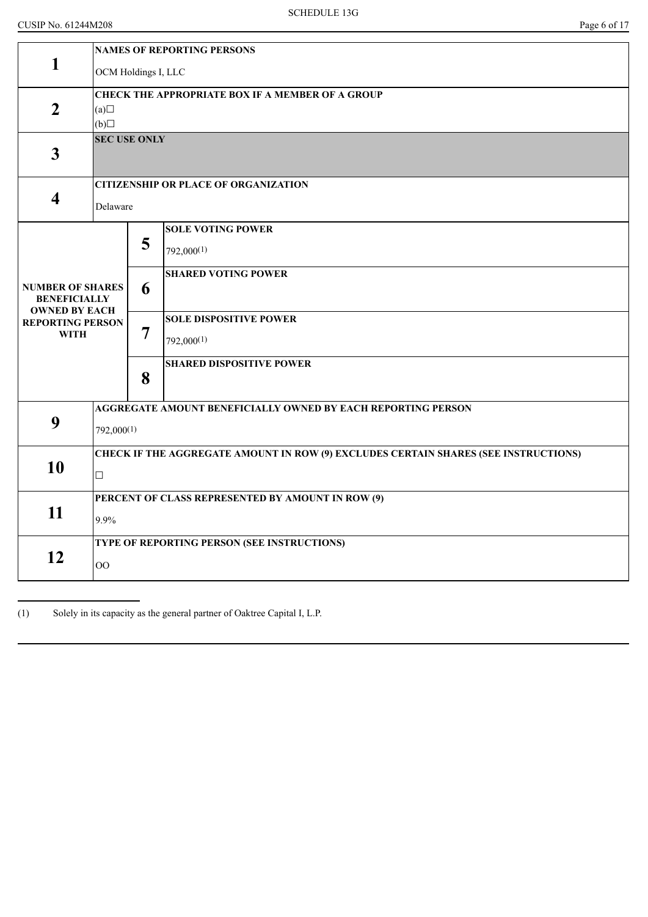|                                                 | <b>NAMES OF REPORTING PERSONS</b>                                                   |                                                         |                                                              |  |  |  |  |
|-------------------------------------------------|-------------------------------------------------------------------------------------|---------------------------------------------------------|--------------------------------------------------------------|--|--|--|--|
| 1                                               |                                                                                     | OCM Holdings I, LLC                                     |                                                              |  |  |  |  |
|                                                 |                                                                                     | <b>CHECK THE APPROPRIATE BOX IF A MEMBER OF A GROUP</b> |                                                              |  |  |  |  |
| $\overline{2}$                                  | (a)<br>(b)                                                                          |                                                         |                                                              |  |  |  |  |
|                                                 |                                                                                     | <b>SEC USE ONLY</b>                                     |                                                              |  |  |  |  |
| $\mathbf{3}$                                    |                                                                                     |                                                         |                                                              |  |  |  |  |
|                                                 |                                                                                     |                                                         | <b>CITIZENSHIP OR PLACE OF ORGANIZATION</b>                  |  |  |  |  |
| $\overline{\mathbf{4}}$                         | Delaware                                                                            |                                                         |                                                              |  |  |  |  |
|                                                 |                                                                                     |                                                         | <b>SOLE VOTING POWER</b>                                     |  |  |  |  |
|                                                 |                                                                                     | 5                                                       | $792,000^{(1)}$                                              |  |  |  |  |
|                                                 |                                                                                     |                                                         | <b>SHARED VOTING POWER</b>                                   |  |  |  |  |
| <b>NUMBER OF SHARES</b><br><b>BENEFICIALLY</b>  | 6                                                                                   |                                                         |                                                              |  |  |  |  |
| <b>OWNED BY EACH</b><br><b>REPORTING PERSON</b> |                                                                                     |                                                         | <b>SOLE DISPOSITIVE POWER</b>                                |  |  |  |  |
| <b>WITH</b>                                     | $\overline{7}$<br>8                                                                 |                                                         | 792,000(1)                                                   |  |  |  |  |
|                                                 |                                                                                     |                                                         | <b>SHARED DISPOSITIVE POWER</b>                              |  |  |  |  |
|                                                 |                                                                                     |                                                         |                                                              |  |  |  |  |
|                                                 |                                                                                     |                                                         | AGGREGATE AMOUNT BENEFICIALLY OWNED BY EACH REPORTING PERSON |  |  |  |  |
| 9                                               | 792,000(1)                                                                          |                                                         |                                                              |  |  |  |  |
|                                                 | CHECK IF THE AGGREGATE AMOUNT IN ROW (9) EXCLUDES CERTAIN SHARES (SEE INSTRUCTIONS) |                                                         |                                                              |  |  |  |  |
| 10                                              | $\Box$                                                                              |                                                         |                                                              |  |  |  |  |
|                                                 |                                                                                     | PERCENT OF CLASS REPRESENTED BY AMOUNT IN ROW (9)       |                                                              |  |  |  |  |
| 11                                              | 9.9%                                                                                |                                                         |                                                              |  |  |  |  |
|                                                 |                                                                                     |                                                         | TYPE OF REPORTING PERSON (SEE INSTRUCTIONS)                  |  |  |  |  |
| 12                                              | O <sub>O</sub>                                                                      |                                                         |                                                              |  |  |  |  |

(1) Solely in its capacity as the general partner of Oaktree Capital I, L.P.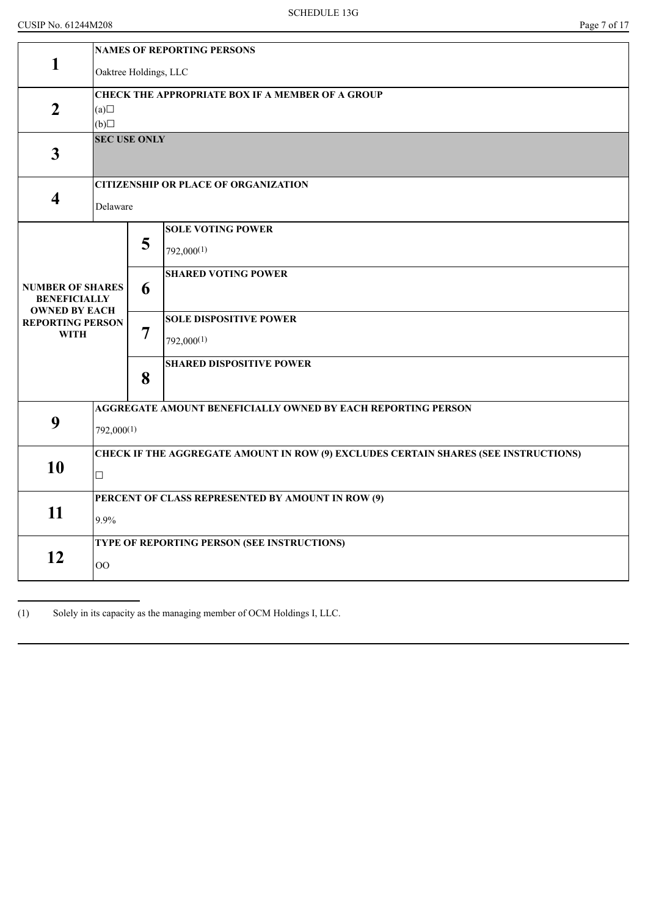|                                                | <b>NAMES OF REPORTING PERSONS</b>                                                   |                       |                                                              |  |  |  |  |
|------------------------------------------------|-------------------------------------------------------------------------------------|-----------------------|--------------------------------------------------------------|--|--|--|--|
| 1                                              |                                                                                     | Oaktree Holdings, LLC |                                                              |  |  |  |  |
|                                                | <b>CHECK THE APPROPRIATE BOX IF A MEMBER OF A GROUP</b>                             |                       |                                                              |  |  |  |  |
| $\overline{2}$                                 | (a)                                                                                 |                       |                                                              |  |  |  |  |
|                                                | (b)                                                                                 |                       |                                                              |  |  |  |  |
| $\mathbf{3}$                                   | <b>SEC USE ONLY</b>                                                                 |                       |                                                              |  |  |  |  |
|                                                |                                                                                     |                       | <b>CITIZENSHIP OR PLACE OF ORGANIZATION</b>                  |  |  |  |  |
| $\overline{\mathbf{4}}$                        | Delaware                                                                            |                       |                                                              |  |  |  |  |
|                                                |                                                                                     |                       | <b>SOLE VOTING POWER</b>                                     |  |  |  |  |
|                                                |                                                                                     | 5                     | $792,000^{(1)}$                                              |  |  |  |  |
|                                                |                                                                                     |                       | <b>SHARED VOTING POWER</b>                                   |  |  |  |  |
| <b>NUMBER OF SHARES</b><br><b>BENEFICIALLY</b> | 6                                                                                   |                       |                                                              |  |  |  |  |
| <b>OWNED BY EACH</b>                           |                                                                                     |                       | <b>SOLE DISPOSITIVE POWER</b>                                |  |  |  |  |
| <b>REPORTING PERSON</b><br><b>WITH</b>         |                                                                                     | 7                     |                                                              |  |  |  |  |
|                                                | 8                                                                                   |                       | 792,000(1)                                                   |  |  |  |  |
|                                                |                                                                                     |                       | <b>SHARED DISPOSITIVE POWER</b>                              |  |  |  |  |
|                                                |                                                                                     |                       |                                                              |  |  |  |  |
|                                                |                                                                                     |                       | AGGREGATE AMOUNT BENEFICIALLY OWNED BY EACH REPORTING PERSON |  |  |  |  |
| 9                                              | 792,000(1)                                                                          |                       |                                                              |  |  |  |  |
|                                                | CHECK IF THE AGGREGATE AMOUNT IN ROW (9) EXCLUDES CERTAIN SHARES (SEE INSTRUCTIONS) |                       |                                                              |  |  |  |  |
| 10                                             | $\Box$                                                                              |                       |                                                              |  |  |  |  |
|                                                | PERCENT OF CLASS REPRESENTED BY AMOUNT IN ROW (9)                                   |                       |                                                              |  |  |  |  |
| 11                                             | 9.9%                                                                                |                       |                                                              |  |  |  |  |
|                                                | TYPE OF REPORTING PERSON (SEE INSTRUCTIONS)                                         |                       |                                                              |  |  |  |  |
| 12                                             | $\overline{O}O$                                                                     |                       |                                                              |  |  |  |  |
|                                                |                                                                                     |                       |                                                              |  |  |  |  |

(1) Solely in its capacity as the managing member of OCM Holdings I, LLC.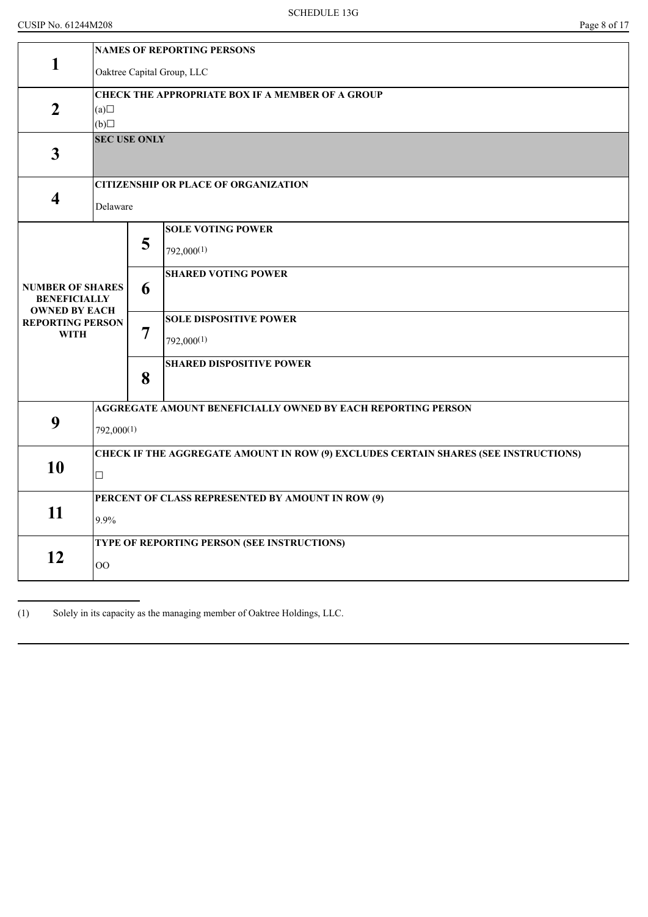|                                                                        | <b>NAMES OF REPORTING PERSONS</b>                                                   |                            |                                                              |  |  |  |
|------------------------------------------------------------------------|-------------------------------------------------------------------------------------|----------------------------|--------------------------------------------------------------|--|--|--|
| 1                                                                      |                                                                                     | Oaktree Capital Group, LLC |                                                              |  |  |  |
|                                                                        | <b>CHECK THE APPROPRIATE BOX IF A MEMBER OF A GROUP</b>                             |                            |                                                              |  |  |  |
| $\overline{2}$                                                         | (a)                                                                                 |                            |                                                              |  |  |  |
|                                                                        | (b)                                                                                 |                            |                                                              |  |  |  |
| $\mathbf{3}$                                                           |                                                                                     | <b>SEC USE ONLY</b>        |                                                              |  |  |  |
|                                                                        |                                                                                     |                            | <b>CITIZENSHIP OR PLACE OF ORGANIZATION</b>                  |  |  |  |
| 4                                                                      | Delaware                                                                            |                            |                                                              |  |  |  |
|                                                                        |                                                                                     |                            | <b>SOLE VOTING POWER</b>                                     |  |  |  |
|                                                                        |                                                                                     | 5                          | $792,000^{(1)}$                                              |  |  |  |
|                                                                        |                                                                                     |                            | <b>SHARED VOTING POWER</b>                                   |  |  |  |
| <b>NUMBER OF SHARES</b><br><b>BENEFICIALLY</b><br><b>OWNED BY EACH</b> | 6                                                                                   |                            |                                                              |  |  |  |
| <b>REPORTING PERSON</b>                                                |                                                                                     |                            | <b>SOLE DISPOSITIVE POWER</b>                                |  |  |  |
| <b>WITH</b>                                                            | 7                                                                                   |                            | 792,000(1)                                                   |  |  |  |
|                                                                        |                                                                                     | 8                          | <b>SHARED DISPOSITIVE POWER</b>                              |  |  |  |
|                                                                        |                                                                                     |                            |                                                              |  |  |  |
|                                                                        |                                                                                     |                            | AGGREGATE AMOUNT BENEFICIALLY OWNED BY EACH REPORTING PERSON |  |  |  |
| 9                                                                      | 792,000(1)                                                                          |                            |                                                              |  |  |  |
|                                                                        | CHECK IF THE AGGREGATE AMOUNT IN ROW (9) EXCLUDES CERTAIN SHARES (SEE INSTRUCTIONS) |                            |                                                              |  |  |  |
| 10                                                                     | $\Box$                                                                              |                            |                                                              |  |  |  |
|                                                                        | PERCENT OF CLASS REPRESENTED BY AMOUNT IN ROW (9)                                   |                            |                                                              |  |  |  |
| 11                                                                     | 9.9%                                                                                |                            |                                                              |  |  |  |
|                                                                        |                                                                                     |                            | TYPE OF REPORTING PERSON (SEE INSTRUCTIONS)                  |  |  |  |
| 12                                                                     | $\overline{O}O$                                                                     |                            |                                                              |  |  |  |

(1) Solely in its capacity as the managing member of Oaktree Holdings, LLC.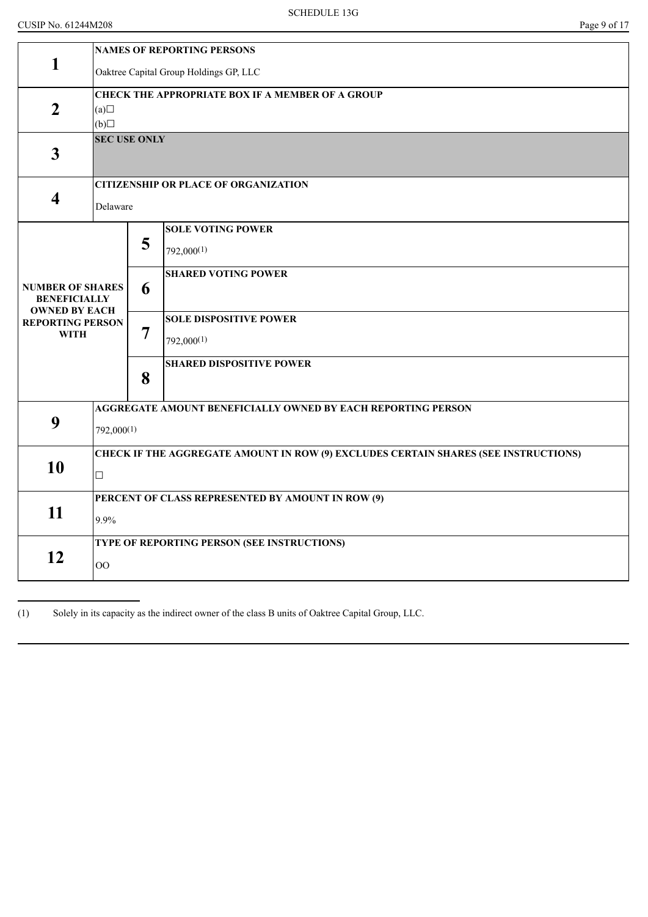|                                                                        | <b>NAMES OF REPORTING PERSONS</b>                                                             |                                                         |                                             |  |  |
|------------------------------------------------------------------------|-----------------------------------------------------------------------------------------------|---------------------------------------------------------|---------------------------------------------|--|--|
| $\mathbf{1}$                                                           | Oaktree Capital Group Holdings GP, LLC                                                        |                                                         |                                             |  |  |
| $\boldsymbol{2}$                                                       | (a)<br>(b)                                                                                    | <b>CHECK THE APPROPRIATE BOX IF A MEMBER OF A GROUP</b> |                                             |  |  |
| $\mathbf{3}$                                                           | <b>SEC USE ONLY</b>                                                                           |                                                         |                                             |  |  |
| $\overline{\mathbf{4}}$                                                | Delaware                                                                                      |                                                         | <b>CITIZENSHIP OR PLACE OF ORGANIZATION</b> |  |  |
|                                                                        |                                                                                               | 5                                                       | <b>SOLE VOTING POWER</b><br>$792,000^{(1)}$ |  |  |
| <b>NUMBER OF SHARES</b><br><b>BENEFICIALLY</b><br><b>OWNED BY EACH</b> |                                                                                               | 6                                                       | <b>SHARED VOTING POWER</b>                  |  |  |
| <b>REPORTING PERSON</b><br><b>WITH</b>                                 | 7                                                                                             |                                                         | <b>SOLE DISPOSITIVE POWER</b><br>792,000(1) |  |  |
|                                                                        |                                                                                               | 8                                                       | <b>SHARED DISPOSITIVE POWER</b>             |  |  |
| 9                                                                      | AGGREGATE AMOUNT BENEFICIALLY OWNED BY EACH REPORTING PERSON<br>792,000(1)                    |                                                         |                                             |  |  |
| 10                                                                     | CHECK IF THE AGGREGATE AMOUNT IN ROW (9) EXCLUDES CERTAIN SHARES (SEE INSTRUCTIONS)<br>$\Box$ |                                                         |                                             |  |  |
| 11                                                                     | PERCENT OF CLASS REPRESENTED BY AMOUNT IN ROW (9)<br>9.9%                                     |                                                         |                                             |  |  |
| 12                                                                     | TYPE OF REPORTING PERSON (SEE INSTRUCTIONS)<br>OO                                             |                                                         |                                             |  |  |

(1) Solely in its capacity as the indirect owner of the class B units of Oaktree Capital Group, LLC.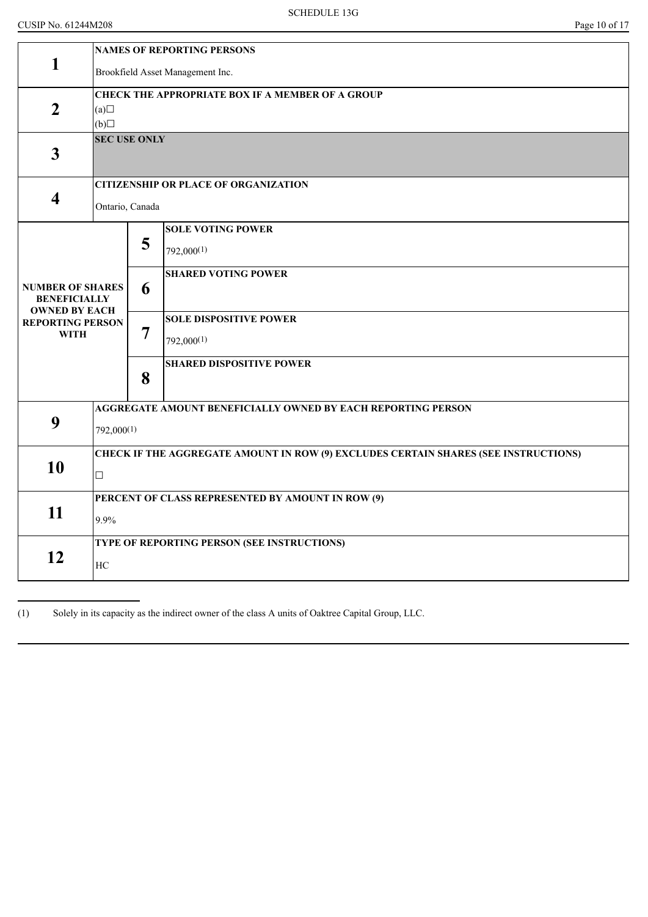|                                                                        | <b>NAMES OF REPORTING PERSONS</b>                                                   |                                                         |                                                              |  |  |  |
|------------------------------------------------------------------------|-------------------------------------------------------------------------------------|---------------------------------------------------------|--------------------------------------------------------------|--|--|--|
| 1                                                                      |                                                                                     | Brookfield Asset Management Inc.                        |                                                              |  |  |  |
|                                                                        |                                                                                     | <b>CHECK THE APPROPRIATE BOX IF A MEMBER OF A GROUP</b> |                                                              |  |  |  |
| $\overline{2}$                                                         | (a)                                                                                 |                                                         |                                                              |  |  |  |
|                                                                        | (b)                                                                                 |                                                         |                                                              |  |  |  |
| $\overline{3}$                                                         |                                                                                     | <b>SEC USE ONLY</b>                                     |                                                              |  |  |  |
|                                                                        |                                                                                     |                                                         | <b>CITIZENSHIP OR PLACE OF ORGANIZATION</b>                  |  |  |  |
| 4                                                                      | Ontario, Canada                                                                     |                                                         |                                                              |  |  |  |
|                                                                        |                                                                                     |                                                         | <b>SOLE VOTING POWER</b>                                     |  |  |  |
|                                                                        |                                                                                     | 5                                                       | $792,000^{(1)}$                                              |  |  |  |
|                                                                        |                                                                                     |                                                         | <b>SHARED VOTING POWER</b>                                   |  |  |  |
| <b>NUMBER OF SHARES</b><br><b>BENEFICIALLY</b><br><b>OWNED BY EACH</b> | 6                                                                                   |                                                         |                                                              |  |  |  |
| <b>REPORTING PERSON</b>                                                |                                                                                     |                                                         | <b>SOLE DISPOSITIVE POWER</b>                                |  |  |  |
| <b>WITH</b>                                                            |                                                                                     | 7                                                       | 792,000(1)                                                   |  |  |  |
|                                                                        |                                                                                     |                                                         | <b>SHARED DISPOSITIVE POWER</b>                              |  |  |  |
|                                                                        |                                                                                     | 8                                                       |                                                              |  |  |  |
|                                                                        |                                                                                     |                                                         | AGGREGATE AMOUNT BENEFICIALLY OWNED BY EACH REPORTING PERSON |  |  |  |
| 9                                                                      | 792,000(1)                                                                          |                                                         |                                                              |  |  |  |
|                                                                        | CHECK IF THE AGGREGATE AMOUNT IN ROW (9) EXCLUDES CERTAIN SHARES (SEE INSTRUCTIONS) |                                                         |                                                              |  |  |  |
| 10                                                                     | $\Box$                                                                              |                                                         |                                                              |  |  |  |
|                                                                        |                                                                                     |                                                         | PERCENT OF CLASS REPRESENTED BY AMOUNT IN ROW (9)            |  |  |  |
|                                                                        | 11<br>9.9%                                                                          |                                                         |                                                              |  |  |  |
|                                                                        |                                                                                     |                                                         | TYPE OF REPORTING PERSON (SEE INSTRUCTIONS)                  |  |  |  |
| 12                                                                     | HC                                                                                  |                                                         |                                                              |  |  |  |
|                                                                        |                                                                                     |                                                         |                                                              |  |  |  |

(1) Solely in its capacity as the indirect owner of the class A units of Oaktree Capital Group, LLC.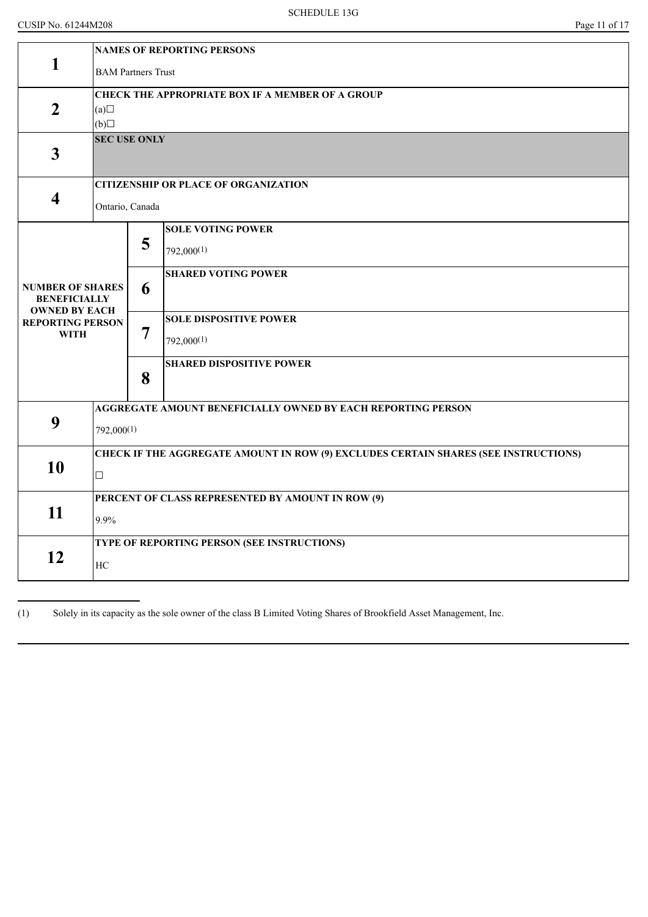|                                             | <b>NAMES OF REPORTING PERSONS</b>                                                   |   |                                                              |  |  |  |  |
|---------------------------------------------|-------------------------------------------------------------------------------------|---|--------------------------------------------------------------|--|--|--|--|
| 1                                           | <b>BAM Partners Trust</b>                                                           |   |                                                              |  |  |  |  |
|                                             | <b>CHECK THE APPROPRIATE BOX IF A MEMBER OF A GROUP</b>                             |   |                                                              |  |  |  |  |
| $\overline{2}$                              | (a)                                                                                 |   |                                                              |  |  |  |  |
|                                             | (b)                                                                                 |   |                                                              |  |  |  |  |
|                                             | <b>SEC USE ONLY</b>                                                                 |   |                                                              |  |  |  |  |
| $\mathbf{3}$                                |                                                                                     |   |                                                              |  |  |  |  |
|                                             |                                                                                     |   | <b>CITIZENSHIP OR PLACE OF ORGANIZATION</b>                  |  |  |  |  |
| 4                                           | Ontario, Canada                                                                     |   |                                                              |  |  |  |  |
|                                             |                                                                                     |   | <b>SOLE VOTING POWER</b>                                     |  |  |  |  |
|                                             |                                                                                     | 5 | $792,000^{(1)}$                                              |  |  |  |  |
|                                             |                                                                                     |   | <b>SHARED VOTING POWER</b>                                   |  |  |  |  |
| <b>NUMBER OF SHARES</b>                     |                                                                                     | 6 |                                                              |  |  |  |  |
| <b>BENEFICIALLY</b><br><b>OWNED BY EACH</b> |                                                                                     |   |                                                              |  |  |  |  |
| <b>REPORTING PERSON</b>                     |                                                                                     |   | <b>SOLE DISPOSITIVE POWER</b>                                |  |  |  |  |
| <b>WITH</b>                                 |                                                                                     | 7 | 792,000(1)                                                   |  |  |  |  |
|                                             |                                                                                     |   | <b>SHARED DISPOSITIVE POWER</b>                              |  |  |  |  |
|                                             |                                                                                     | 8 |                                                              |  |  |  |  |
|                                             |                                                                                     |   | AGGREGATE AMOUNT BENEFICIALLY OWNED BY EACH REPORTING PERSON |  |  |  |  |
| 9                                           | 792,000(1)                                                                          |   |                                                              |  |  |  |  |
|                                             | CHECK IF THE AGGREGATE AMOUNT IN ROW (9) EXCLUDES CERTAIN SHARES (SEE INSTRUCTIONS) |   |                                                              |  |  |  |  |
| 10                                          | $\Box$                                                                              |   |                                                              |  |  |  |  |
|                                             | PERCENT OF CLASS REPRESENTED BY AMOUNT IN ROW (9)                                   |   |                                                              |  |  |  |  |
| 11                                          | 9.9%                                                                                |   |                                                              |  |  |  |  |
|                                             |                                                                                     |   | TYPE OF REPORTING PERSON (SEE INSTRUCTIONS)                  |  |  |  |  |
| 12                                          | HC                                                                                  |   |                                                              |  |  |  |  |
|                                             |                                                                                     |   |                                                              |  |  |  |  |

(1) Solely in its capacity as the sole owner of the class B Limited Voting Shares of Brookfield Asset Management, Inc.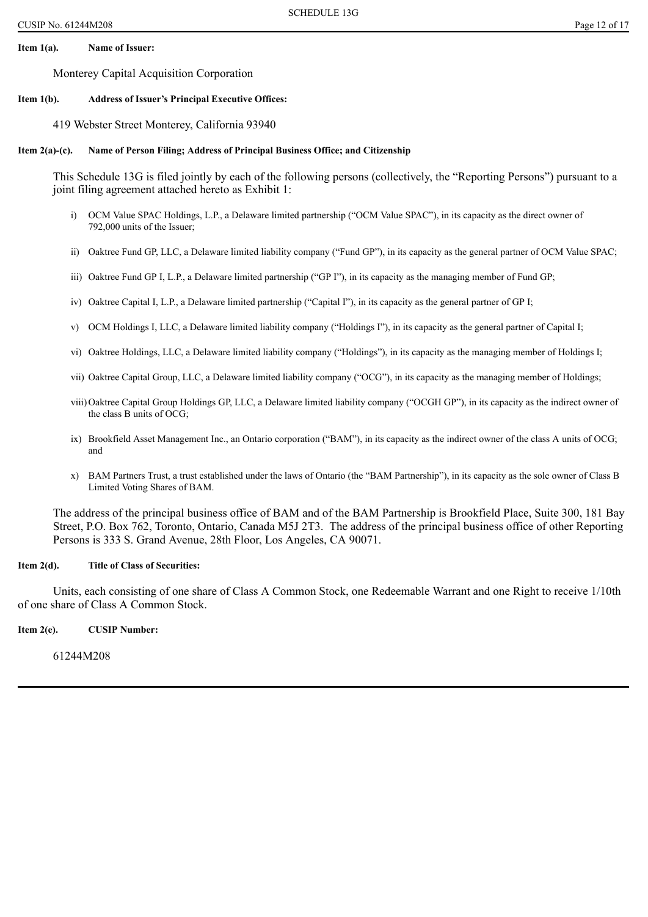### **Item 1(a). Name of Issuer:**

Monterey Capital Acquisition Corporation

#### **Item 1(b). Address of Issuer's Principal Executive Offices:**

419 Webster Street Monterey, California 93940

#### **Item 2(a)-(c). Name of Person Filing; Address of Principal Business Office; and Citizenship**

This Schedule 13G is filed jointly by each of the following persons (collectively, the "Reporting Persons") pursuant to a joint filing agreement attached hereto as Exhibit 1:

- i) OCM Value SPAC Holdings, L.P., a Delaware limited partnership ("OCM Value SPAC"), in its capacity as the direct owner of 792,000 units of the Issuer;
- ii) Oaktree Fund GP, LLC, a Delaware limited liability company ("Fund GP"), in its capacity as the general partner of OCM Value SPAC;
- iii) Oaktree Fund GP I, L.P., a Delaware limited partnership ("GP I"), in its capacity as the managing member of Fund GP;
- iv) Oaktree Capital I, L.P., a Delaware limited partnership ("Capital I"), in its capacity as the general partner of GP I;
- v) OCM Holdings I, LLC, a Delaware limited liability company ("Holdings I"), in its capacity as the general partner of Capital I;
- vi) Oaktree Holdings, LLC, a Delaware limited liability company ("Holdings"), in its capacity as the managing member of Holdings I;
- vii) Oaktree Capital Group, LLC, a Delaware limited liability company ("OCG"), in its capacity as the managing member of Holdings;
- viii)Oaktree Capital Group Holdings GP, LLC, a Delaware limited liability company ("OCGH GP"), in its capacity as the indirect owner of the class B units of OCG;
- ix) Brookfield Asset Management Inc., an Ontario corporation ("BAM"), in its capacity as the indirect owner of the class A units of OCG; and
- x) BAM Partners Trust, a trust established under the laws of Ontario (the "BAM Partnership"), in its capacity as the sole owner of Class B Limited Voting Shares of BAM.

The address of the principal business office of BAM and of the BAM Partnership is Brookfield Place, Suite 300, 181 Bay Street, P.O. Box 762, Toronto, Ontario, Canada M5J 2T3. The address of the principal business office of other Reporting Persons is 333 S. Grand Avenue, 28th Floor, Los Angeles, CA 90071.

#### **Item 2(d). Title of Class of Securities:**

Units, each consisting of one share of Class A Common Stock, one Redeemable Warrant and one Right to receive 1/10th of one share of Class A Common Stock.

**Item 2(e). CUSIP Number:**

61244M208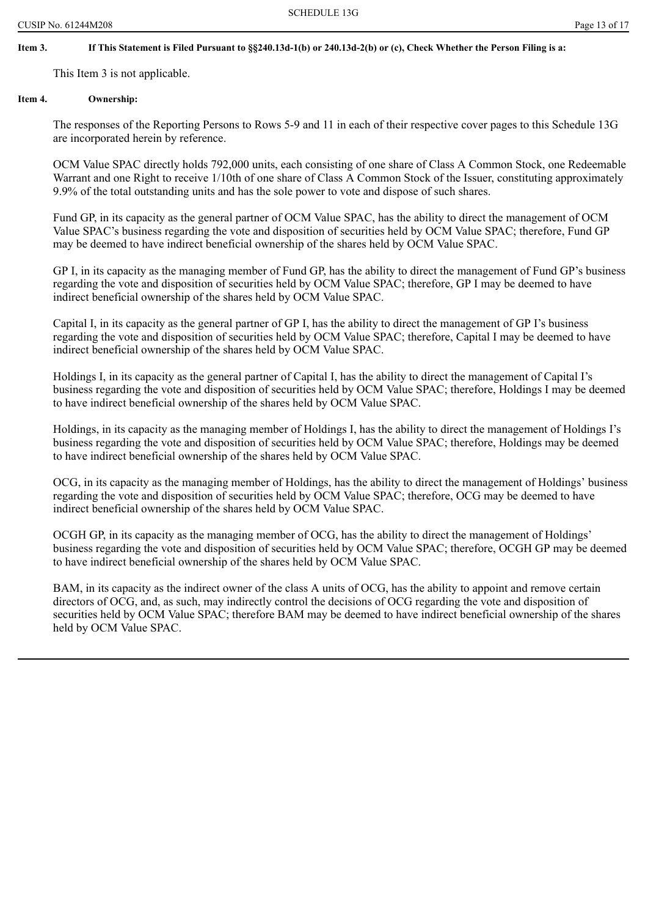# If This Statement is Filed Pursuant to §§240.13d-1(b) or 240.13d-2(b) or (c), Check Whether the Person Filing is a:

This Item 3 is not applicable.

# **Item 4. Ownership:**

The responses of the Reporting Persons to Rows 5-9 and 11 in each of their respective cover pages to this Schedule 13G are incorporated herein by reference.

OCM Value SPAC directly holds 792,000 units, each consisting of one share of Class A Common Stock, one Redeemable Warrant and one Right to receive 1/10th of one share of Class A Common Stock of the Issuer, constituting approximately 9.9% of the total outstanding units and has the sole power to vote and dispose of such shares.

Fund GP, in its capacity as the general partner of OCM Value SPAC, has the ability to direct the management of OCM Value SPAC's business regarding the vote and disposition of securities held by OCM Value SPAC; therefore, Fund GP may be deemed to have indirect beneficial ownership of the shares held by OCM Value SPAC.

GP I, in its capacity as the managing member of Fund GP, has the ability to direct the management of Fund GP's business regarding the vote and disposition of securities held by OCM Value SPAC; therefore, GP I may be deemed to have indirect beneficial ownership of the shares held by OCM Value SPAC.

Capital I, in its capacity as the general partner of GP I, has the ability to direct the management of GP I's business regarding the vote and disposition of securities held by OCM Value SPAC; therefore, Capital I may be deemed to have indirect beneficial ownership of the shares held by OCM Value SPAC.

Holdings I, in its capacity as the general partner of Capital I, has the ability to direct the management of Capital I's business regarding the vote and disposition of securities held by OCM Value SPAC; therefore, Holdings I may be deemed to have indirect beneficial ownership of the shares held by OCM Value SPAC.

Holdings, in its capacity as the managing member of Holdings I, has the ability to direct the management of Holdings I's business regarding the vote and disposition of securities held by OCM Value SPAC; therefore, Holdings may be deemed to have indirect beneficial ownership of the shares held by OCM Value SPAC.

OCG, in its capacity as the managing member of Holdings, has the ability to direct the management of Holdings' business regarding the vote and disposition of securities held by OCM Value SPAC; therefore, OCG may be deemed to have indirect beneficial ownership of the shares held by OCM Value SPAC.

OCGH GP, in its capacity as the managing member of OCG, has the ability to direct the management of Holdings' business regarding the vote and disposition of securities held by OCM Value SPAC; therefore, OCGH GP may be deemed to have indirect beneficial ownership of the shares held by OCM Value SPAC.

BAM, in its capacity as the indirect owner of the class A units of OCG, has the ability to appoint and remove certain directors of OCG, and, as such, may indirectly control the decisions of OCG regarding the vote and disposition of securities held by OCM Value SPAC; therefore BAM may be deemed to have indirect beneficial ownership of the shares held by OCM Value SPAC.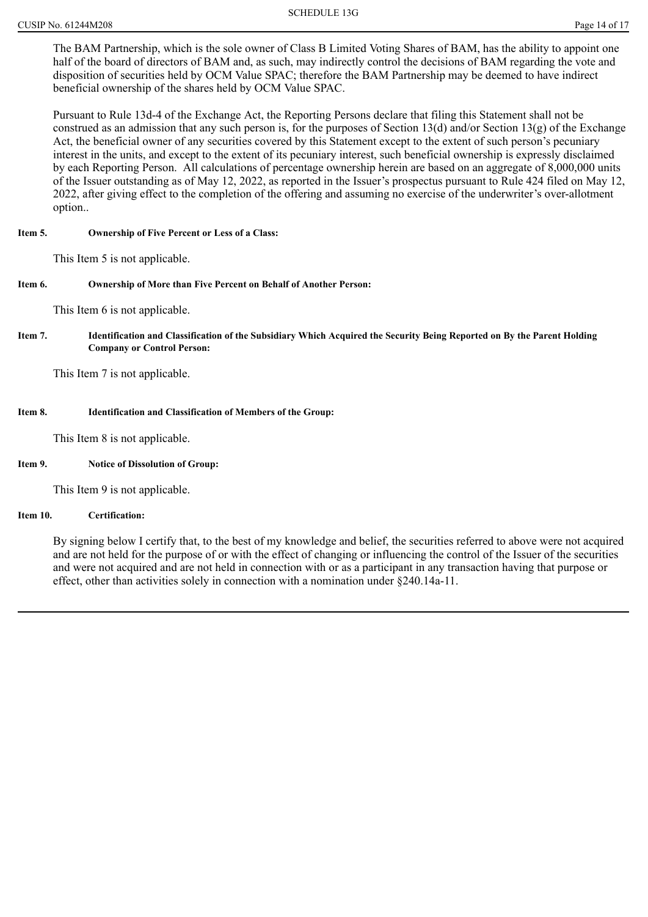The BAM Partnership, which is the sole owner of Class B Limited Voting Shares of BAM, has the ability to appoint one half of the board of directors of BAM and, as such, may indirectly control the decisions of BAM regarding the vote and disposition of securities held by OCM Value SPAC; therefore the BAM Partnership may be deemed to have indirect beneficial ownership of the shares held by OCM Value SPAC.

Pursuant to Rule 13d-4 of the Exchange Act, the Reporting Persons declare that filing this Statement shall not be construed as an admission that any such person is, for the purposes of Section 13(d) and/or Section 13(g) of the Exchange Act, the beneficial owner of any securities covered by this Statement except to the extent of such person's pecuniary interest in the units, and except to the extent of its pecuniary interest, such beneficial ownership is expressly disclaimed by each Reporting Person. All calculations of percentage ownership herein are based on an aggregate of 8,000,000 units of the Issuer outstanding as of May 12, 2022, as reported in the Issuer's prospectus pursuant to Rule 424 filed on May 12, 2022, after giving effect to the completion of the offering and assuming no exercise of the underwriter's over-allotment option..

### **Item 5. Ownership of Five Percent or Less of a Class:**

This Item 5 is not applicable.

### **Item 6. Ownership of More than Five Percent on Behalf of Another Person:**

This Item 6 is not applicable.

Item 7. Identification and Classification of the Subsidiary Which Acquired the Security Being Reported on By the Parent Holding **Company or Control Person:**

This Item 7 is not applicable.

#### **Item 8. Identification and Classification of Members of the Group:**

This Item 8 is not applicable.

#### **Item 9. Notice of Dissolution of Group:**

This Item 9 is not applicable.

#### **Item 10. Certification:**

By signing below I certify that, to the best of my knowledge and belief, the securities referred to above were not acquired and are not held for the purpose of or with the effect of changing or influencing the control of the Issuer of the securities and were not acquired and are not held in connection with or as a participant in any transaction having that purpose or effect, other than activities solely in connection with a nomination under §240.14a-11.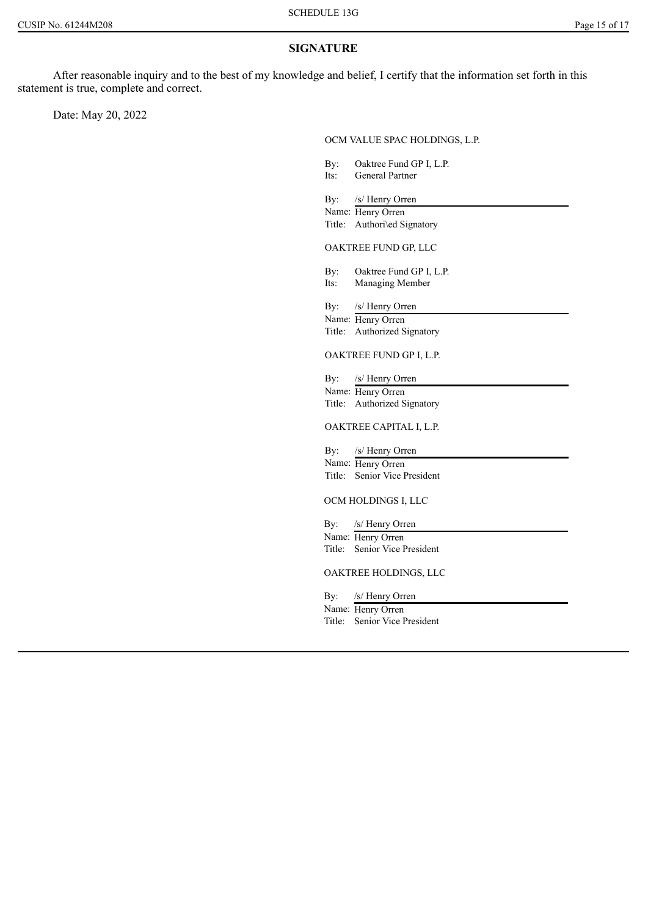### **SIGNATURE**

After reasonable inquiry and to the best of my knowledge and belief, I certify that the information set forth in this statement is true, complete and correct.

Date: May 20, 2022

OCM VALUE SPAC HOLDINGS, L.P.

By: Oaktree Fund GP I, L.P.<br>Its: General Partner General Partner By: /s/ Henry Orren Name: Henry Orren Title: Authori\ed Signatory OAKTREE FUND GP, LLC By: Oaktree Fund GP I, L.P. Its: Managing Member By: /s/ Henry Orren Name: Henry Orren Title: Authorized Signatory OAKTREE FUND GP I, L.P. By: /s/ Henry Orren Name: Henry Orren Title: Authorized Signatory OAKTREE CAPITAL I, L.P. By: /s/ Henry Orren Name: Henry Orren Title: Senior Vice President OCM HOLDINGS I, LLC By: /s/ Henry Orren Name: Henry Orren Title: Senior Vice President OAKTREE HOLDINGS, LLC By: /s/ Henry Orren

Name: Henry Orren Title: Senior Vice President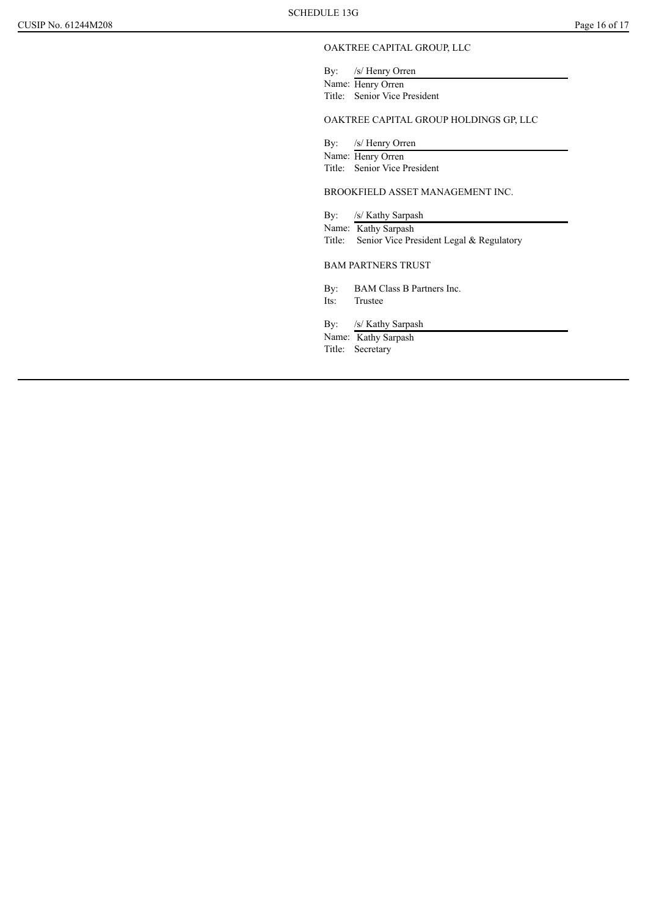#### OAKTREE CAPITAL GROUP, LLC

By: /s/ Henry Orren Name: Henry Orren Title: Senior Vice President

#### OAKTREE CAPITAL GROUP HOLDINGS GP, LLC

By: /s/ Henry Orren

Name: Henry Orren

Title: Senior Vice President

#### BROOKFIELD ASSET MANAGEMENT INC.

By: /s/ Kathy Sarpash

Name: Kathy Sarpash

Title: Senior Vice President Legal & Regulatory

BAM PARTNERS TRUST

By: BAM Class B Partners Inc.<br>Its: Trustee **Trustee** 

By: /s/ Kathy Sarpash

Name: Kathy Sarpash Title: Secretary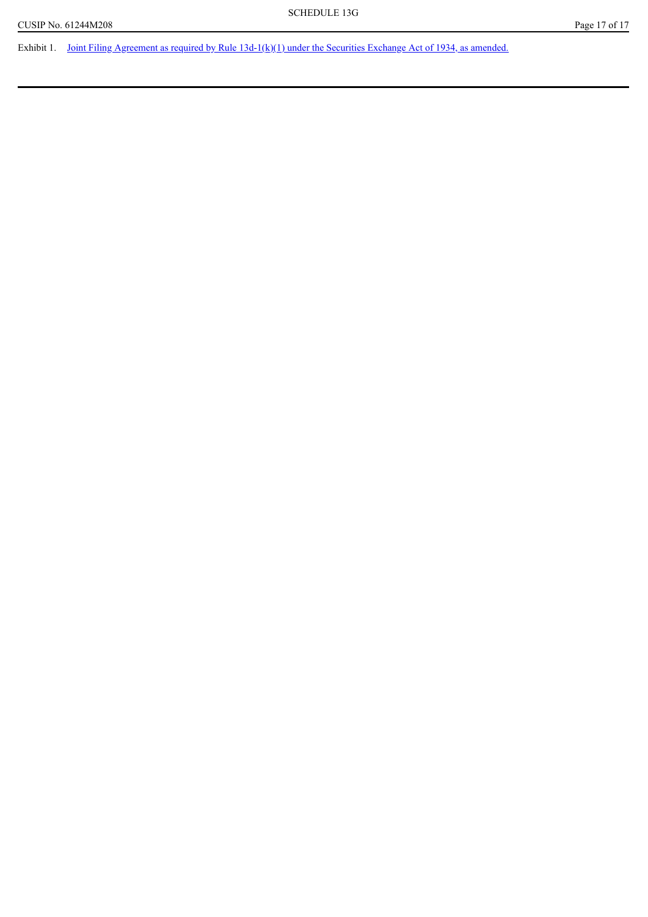Exhibit 1. Joint Filing Agreement as required by Rule  $13d-1(k)(1)$  under the Securities Exchange Act of 1934, as amended.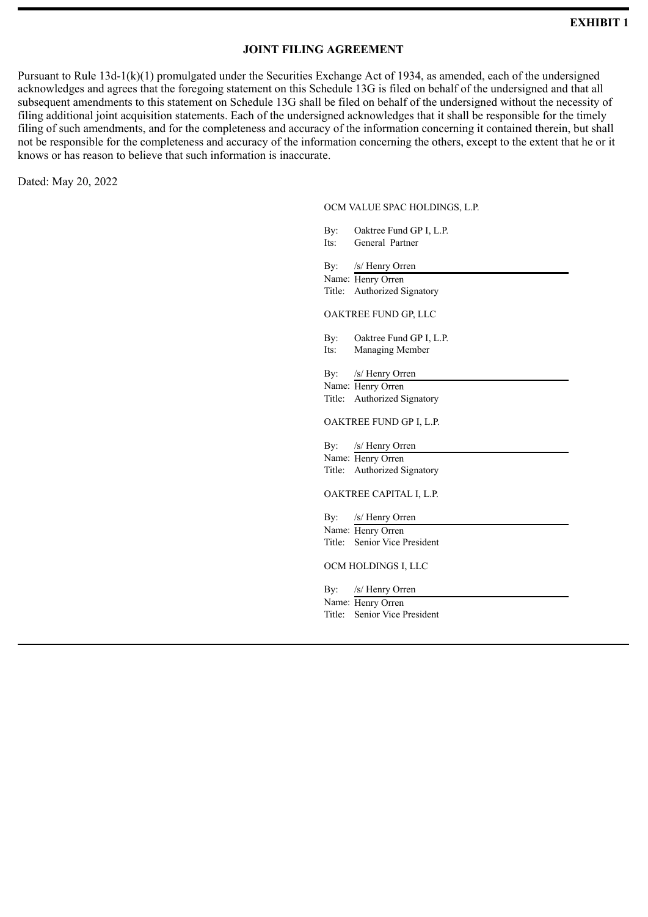# **JOINT FILING AGREEMENT**

<span id="page-17-0"></span>Pursuant to Rule 13d-1(k)(1) promulgated under the Securities Exchange Act of 1934, as amended, each of the undersigned acknowledges and agrees that the foregoing statement on this Schedule 13G is filed on behalf of the undersigned and that all subsequent amendments to this statement on Schedule 13G shall be filed on behalf of the undersigned without the necessity of filing additional joint acquisition statements. Each of the undersigned acknowledges that it shall be responsible for the timely filing of such amendments, and for the completeness and accuracy of the information concerning it contained therein, but shall not be responsible for the completeness and accuracy of the information concerning the others, except to the extent that he or it knows or has reason to believe that such information is inaccurate.

Dated: May 20, 2022

#### OCM VALUE SPAC HOLDINGS, L.P.

|        | By: Oaktree Fund GP I, L.P.  |
|--------|------------------------------|
| Its:   | General Partner              |
|        | By: /s/ Henry Orren          |
|        |                              |
|        | Name: Henry Orren            |
|        | Title: Authorized Signatory  |
|        | OAKTREE FUND GP, LLC         |
|        | By: Oaktree Fund GP I, L.P.  |
| Its:   | Managing Member              |
|        |                              |
|        | By: /s/ Henry Orren          |
|        | Name: Henry Orren            |
|        | Title: Authorized Signatory  |
|        | OAKTREE FUND GP I, L.P.      |
|        | By: /s/ Henry Orren          |
|        | Name: Henry Orren            |
|        | Title: Authorized Signatory  |
|        | OAKTREE CAPITAL I, L.P.      |
|        | By: /s/ Henry Orren          |
|        | Name: Henry Orren            |
|        | Title: Senior Vice President |
|        | OCM HOLDINGS I, LLC          |
|        | By: /s/ Henry Orren          |
|        | Name: Henry Orren            |
| Title: | Senior Vice President        |